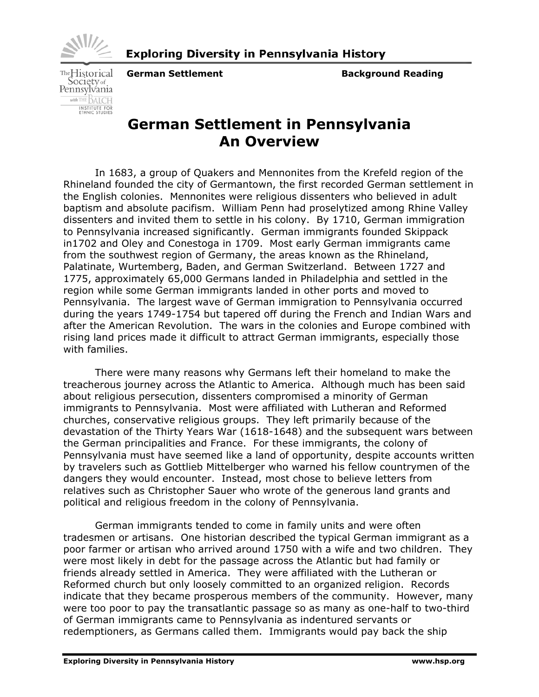

TheHistorical Society<sub>of</sub><br>Pennsylvania with THE BALCH INSTITUTE FOR<br>ETHNIC STUDIES

**German Settlement Communisty Communisty Background Reading** 

## **German Settlement in Pennsylvania An Overview**

In 1683, a group of Quakers and Mennonites from the Krefeld region of the Rhineland founded the city of Germantown, the first recorded German settlement in the English colonies. Mennonites were religious dissenters who believed in adult baptism and absolute pacifism. William Penn had proselytized among Rhine Valley dissenters and invited them to settle in his colony. By 1710, German immigration to Pennsylvania increased significantly. German immigrants founded Skippack in1702 and Oley and Conestoga in 1709. Most early German immigrants came from the southwest region of Germany, the areas known as the Rhineland, Palatinate, Wurtemberg, Baden, and German Switzerland. Between 1727 and 1775, approximately 65,000 Germans landed in Philadelphia and settled in the region while some German immigrants landed in other ports and moved to Pennsylvania. The largest wave of German immigration to Pennsylvania occurred during the years 1749-1754 but tapered off during the French and Indian Wars and after the American Revolution. The wars in the colonies and Europe combined with rising land prices made it difficult to attract German immigrants, especially those with families.

There were many reasons why Germans left their homeland to make the treacherous journey across the Atlantic to America. Although much has been said about religious persecution, dissenters compromised a minority of German immigrants to Pennsylvania. Most were affiliated with Lutheran and Reformed churches, conservative religious groups. They left primarily because of the devastation of the Thirty Years War (1618-1648) and the subsequent wars between the German principalities and France. For these immigrants, the colony of Pennsylvania must have seemed like a land of opportunity, despite accounts written by travelers such as Gottlieb Mittelberger who warned his fellow countrymen of the dangers they would encounter. Instead, most chose to believe letters from relatives such as Christopher Sauer who wrote of the generous land grants and political and religious freedom in the colony of Pennsylvania.

German immigrants tended to come in family units and were often tradesmen or artisans. One historian described the typical German immigrant as a poor farmer or artisan who arrived around 1750 with a wife and two children. They were most likely in debt for the passage across the Atlantic but had family or friends already settled in America. They were affiliated with the Lutheran or Reformed church but only loosely committed to an organized religion. Records indicate that they became prosperous members of the community. However, many were too poor to pay the transatlantic passage so as many as one-half to two-third of German immigrants came to Pennsylvania as indentured servants or redemptioners, as Germans called them. Immigrants would pay back the ship